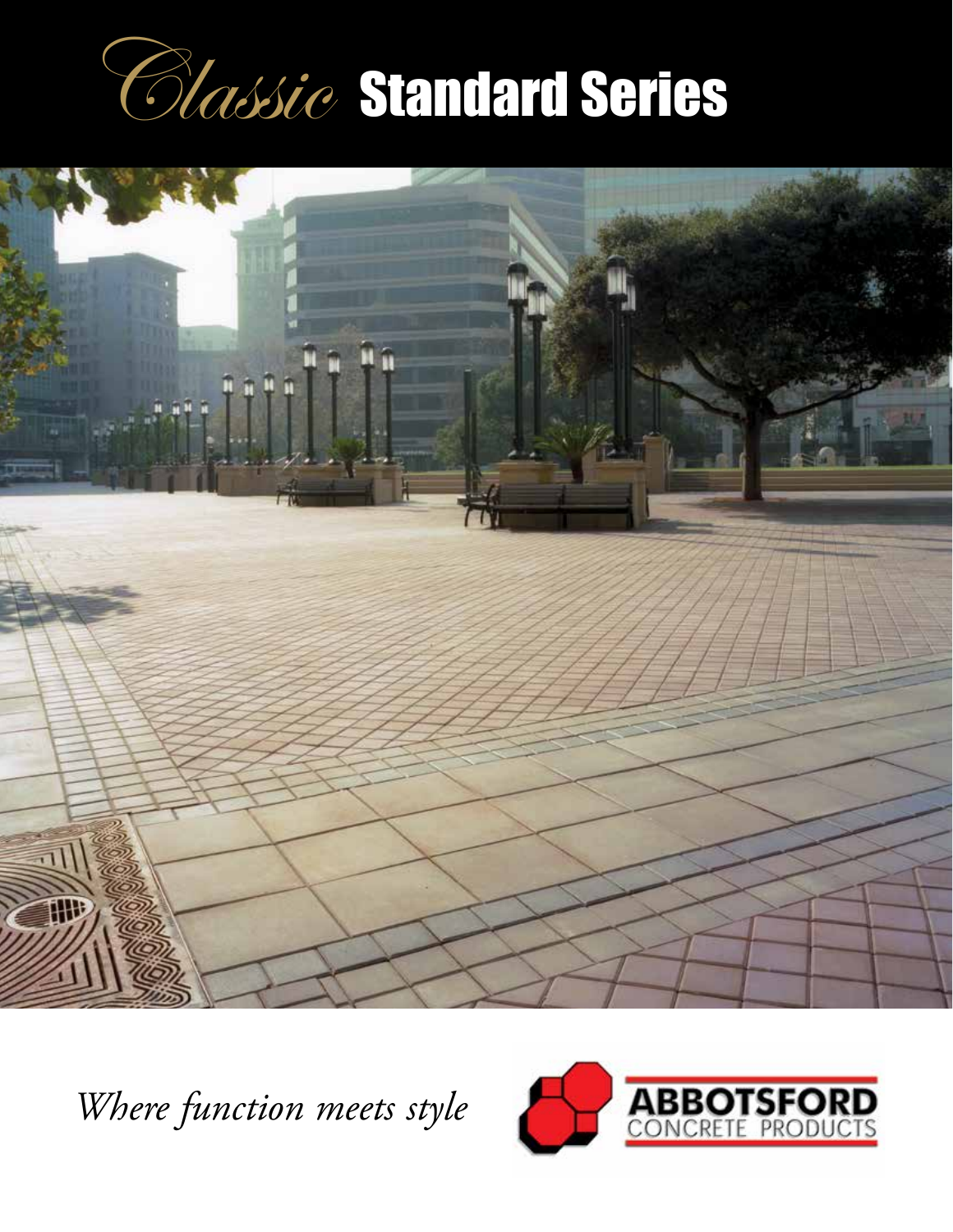



*Where function meets style*

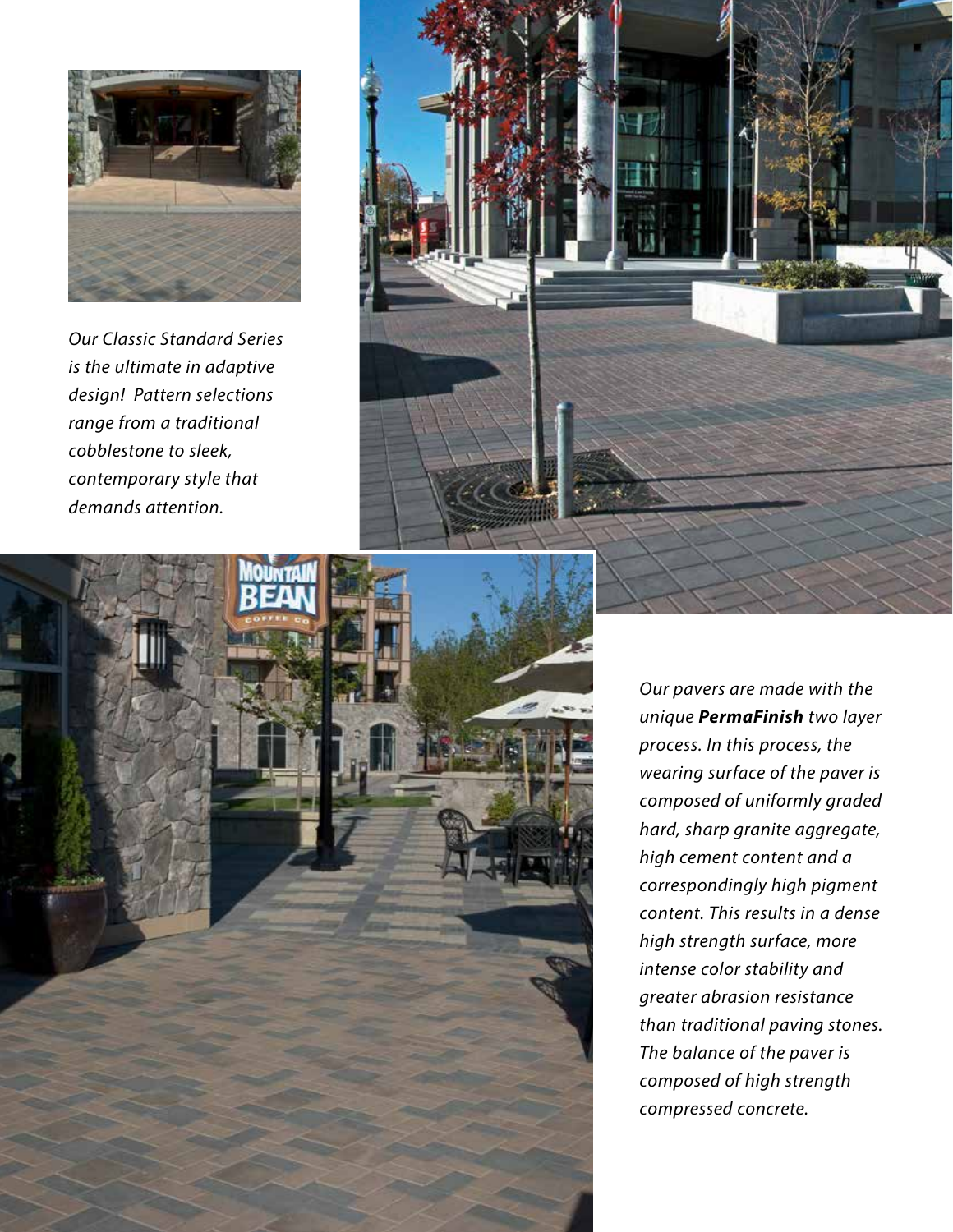

*Our Classic Standard Series is the ultimate in adaptive design! Pattern selections range from a traditional cobblestone to sleek, contemporary style that demands attention.*





*Our pavers are made with the unique PermaFinish two layer process. In this process, the wearing surface of the paver is composed of uniformly graded hard, sharp granite aggregate, high cement content and a correspondingly high pigment content. This results in a dense high strength surface, more intense color stability and greater abrasion resistance than traditional paving stones. The balance of the paver is composed of high strength compressed concrete.*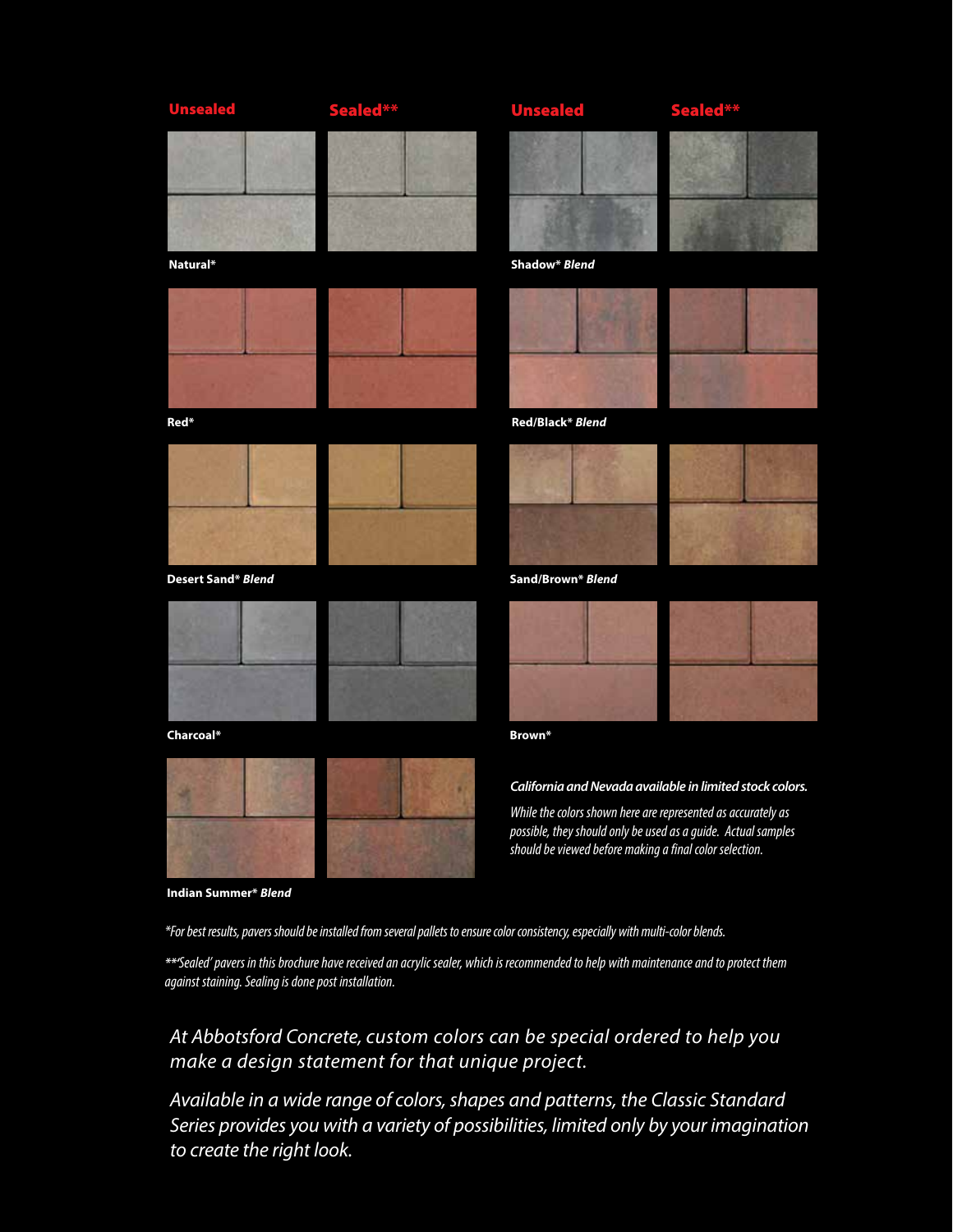### Unsealed Sealed\*\*





**Natural\*** 





**Red\*** 



**Desert Sand\*** *Blend* 



**Charcoal\***



### Unsealed





Sealed\*\*

**Shadow\*** *Blend* 



**Red/Black\*** *Blend* 





**Sand/Brown\*** *Blend* 





**Brown\***

### *California and Nevada available in limited stock colors.*

*While the colors shown here are represented as accurately as possible, they should only be used as a guide. Actual samples should be viewed before making a final color selection.* 

**Indian Summer\*** *Blend* 

*\*For best results, pavers should be installed from several pallets to ensure color consistency, especially with multi-color blends.*

*\*\*'Sealed' pavers in this brochure have received an acrylic sealer, which is recommended to help with maintenance and to protect them against staining. Sealing is done post installation.*

### *At Abbotsford Concrete, custom colors can be special ordered to help you make a design statement for that unique project.*

*Available in a wide range of colors, shapes and patterns, the Classic Standard Series provides you with a variety of possibilities, limited only by your imagination to create the right look.*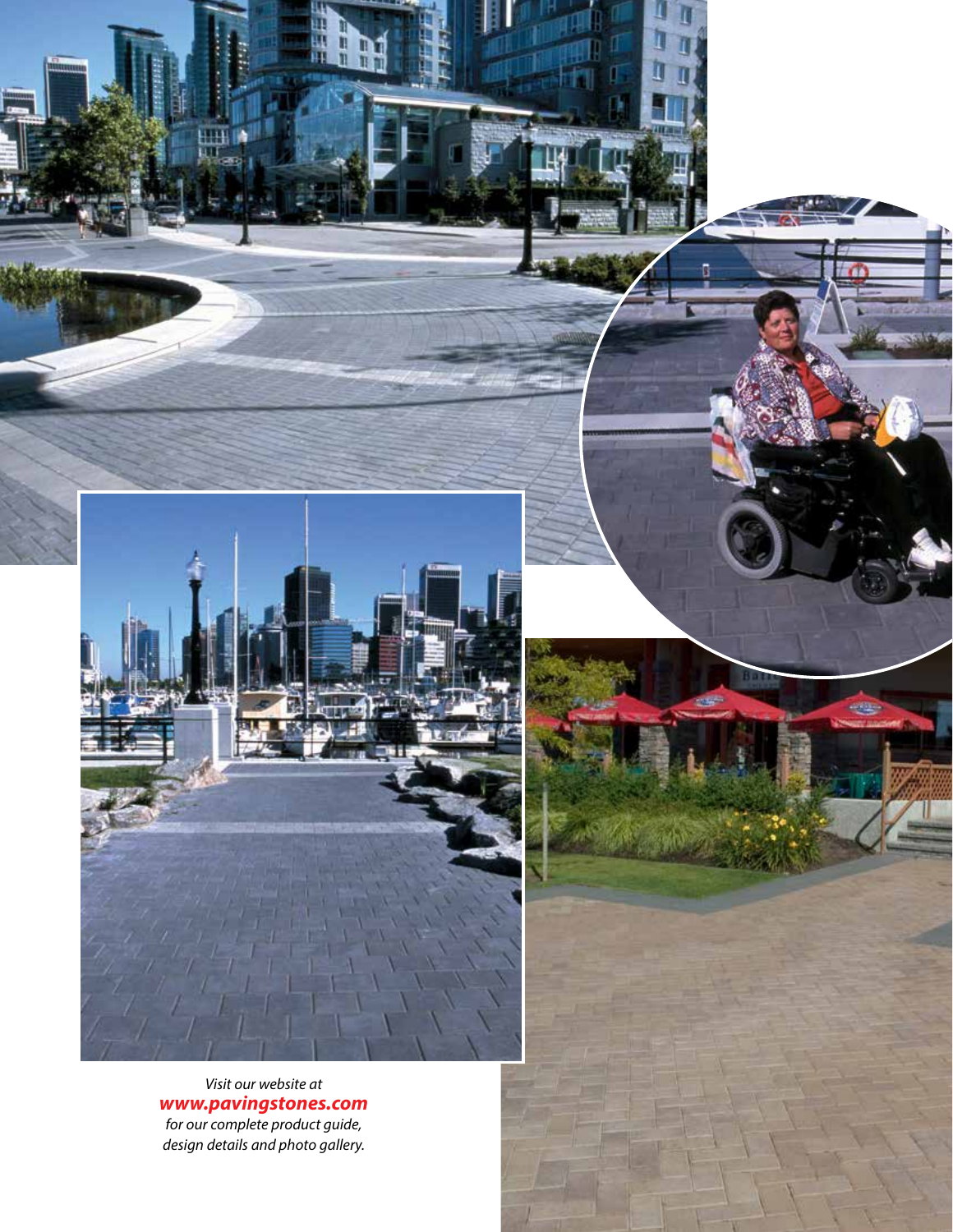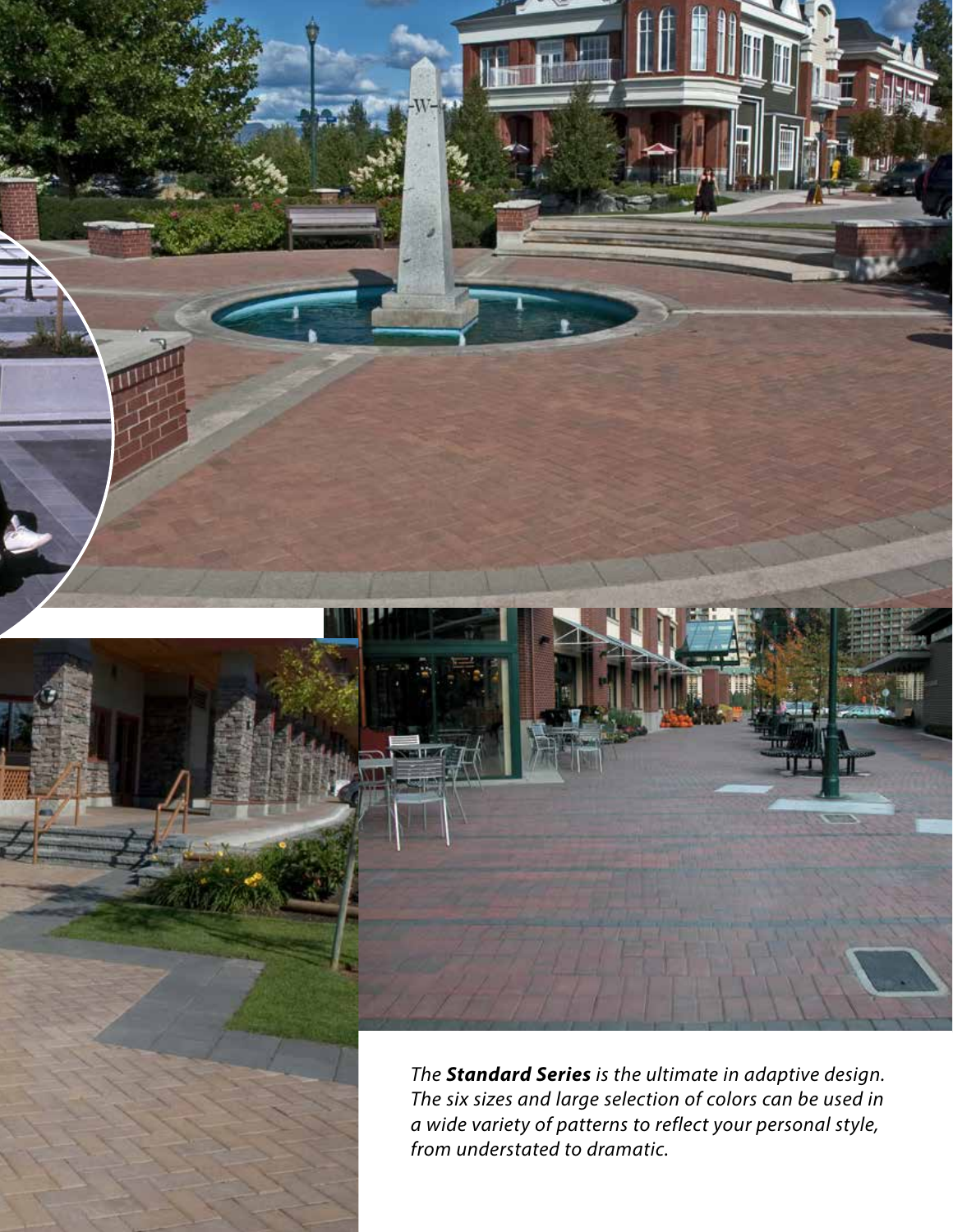

*The six sizes and large selection of colors can be used in a wide variety of patterns to reflect your personal style, from understated to dramatic.*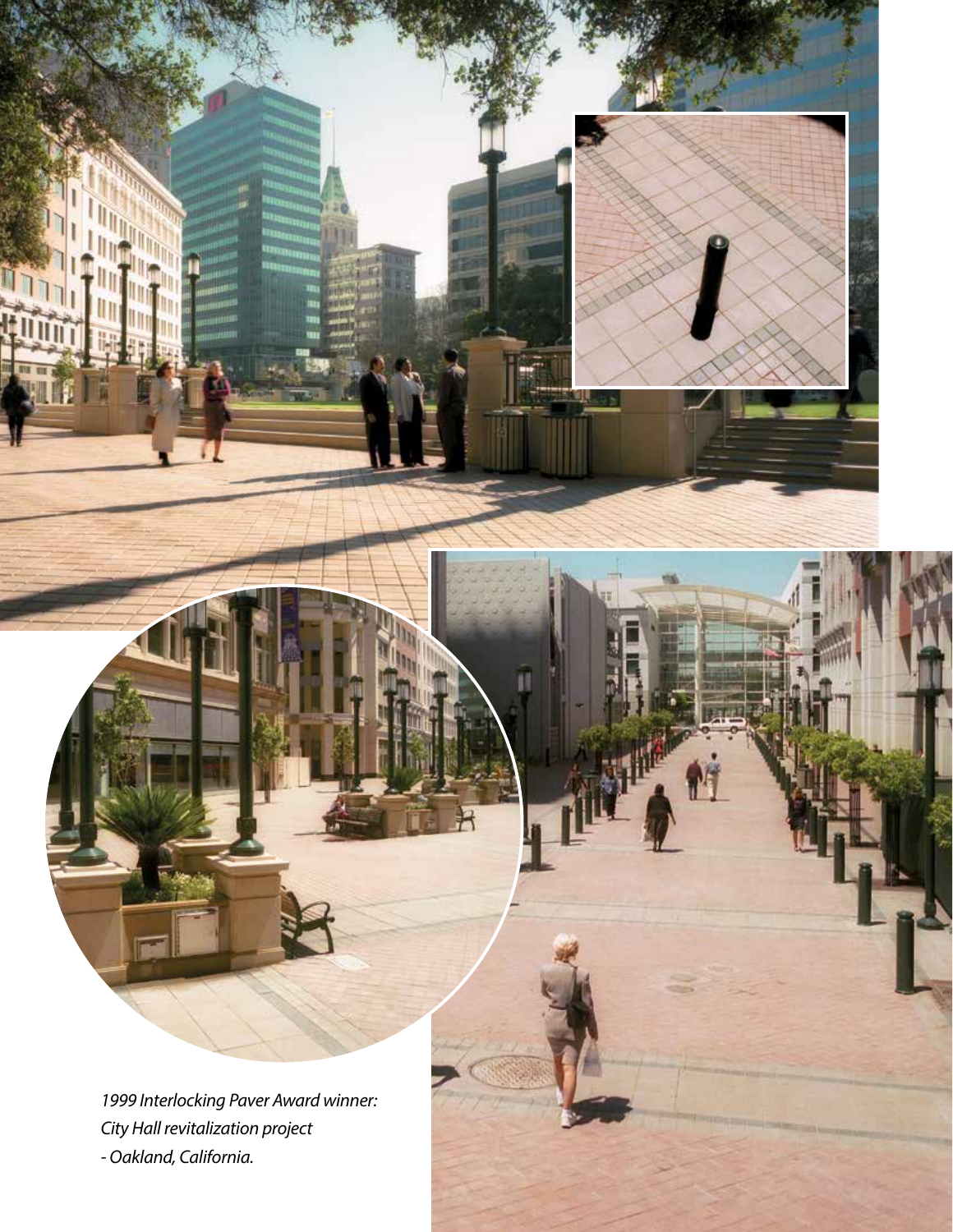*1999 Interlocking Paver Award winner: City Hall revitalization project - Oakland, California.*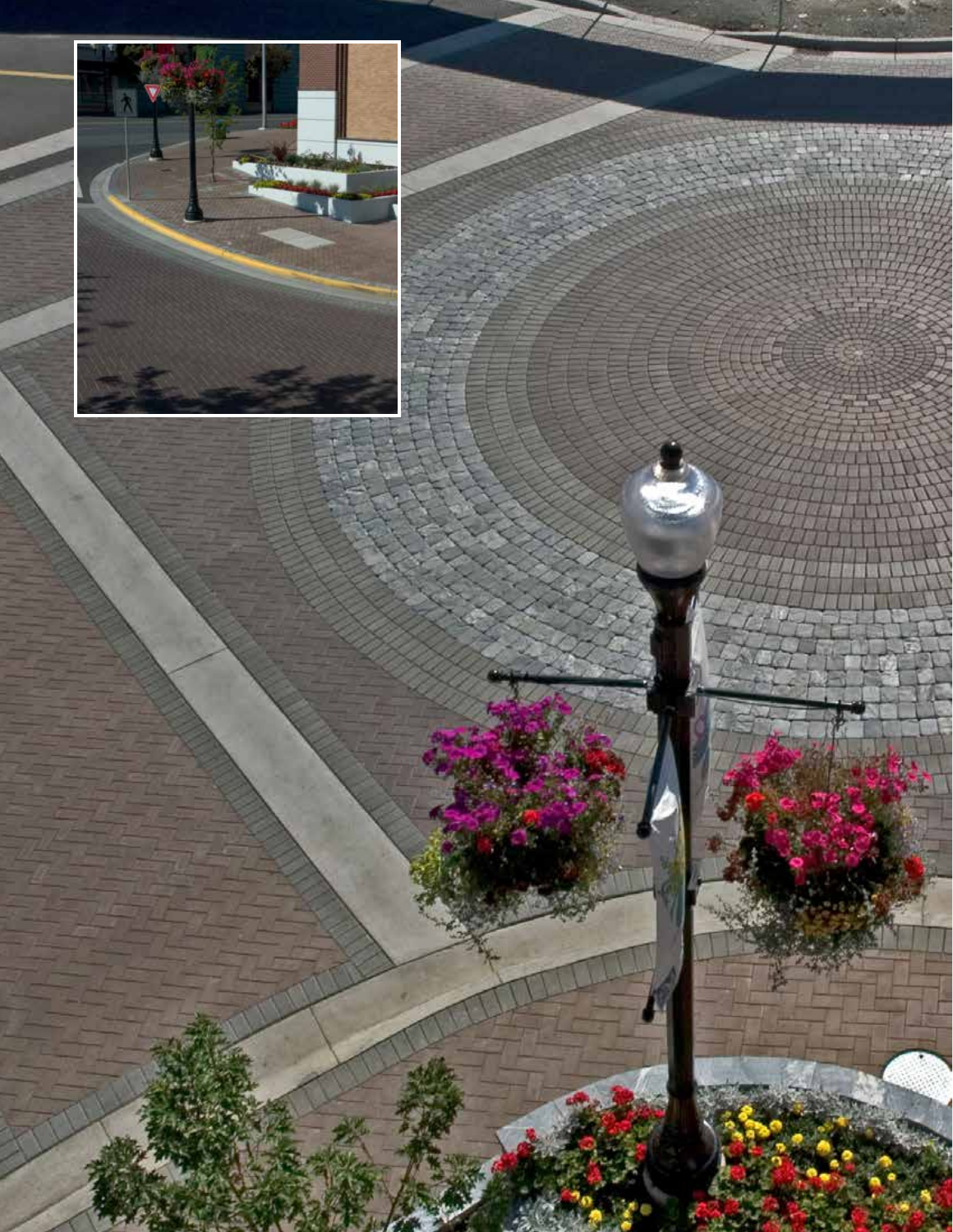